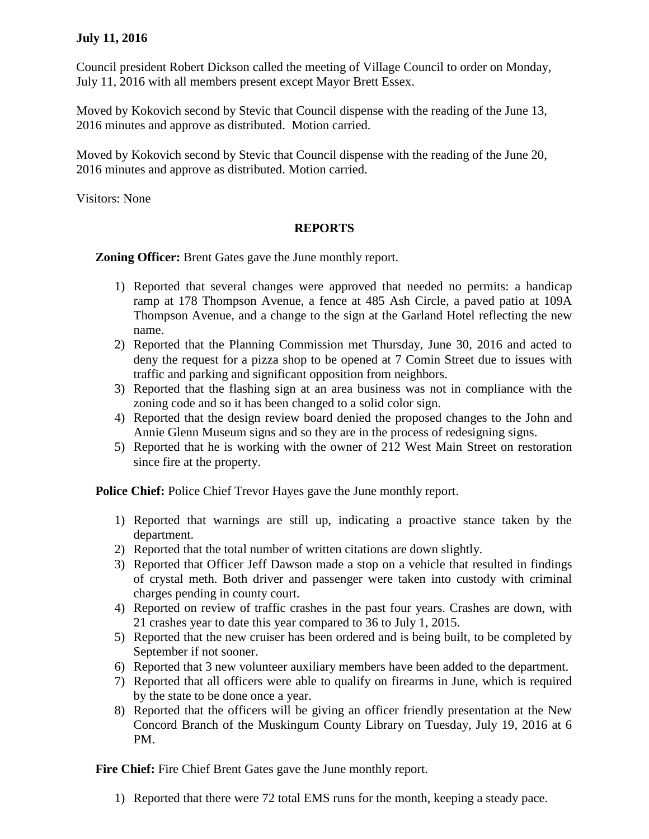## **July 11, 2016**

Council president Robert Dickson called the meeting of Village Council to order on Monday, July 11, 2016 with all members present except Mayor Brett Essex.

Moved by Kokovich second by Stevic that Council dispense with the reading of the June 13, 2016 minutes and approve as distributed. Motion carried.

Moved by Kokovich second by Stevic that Council dispense with the reading of the June 20, 2016 minutes and approve as distributed. Motion carried.

Visitors: None

## **REPORTS**

**Zoning Officer:** Brent Gates gave the June monthly report.

- 1) Reported that several changes were approved that needed no permits: a handicap ramp at 178 Thompson Avenue, a fence at 485 Ash Circle, a paved patio at 109A Thompson Avenue, and a change to the sign at the Garland Hotel reflecting the new name.
- 2) Reported that the Planning Commission met Thursday, June 30, 2016 and acted to deny the request for a pizza shop to be opened at 7 Comin Street due to issues with traffic and parking and significant opposition from neighbors.
- 3) Reported that the flashing sign at an area business was not in compliance with the zoning code and so it has been changed to a solid color sign.
- 4) Reported that the design review board denied the proposed changes to the John and Annie Glenn Museum signs and so they are in the process of redesigning signs.
- 5) Reported that he is working with the owner of 212 West Main Street on restoration since fire at the property.

**Police Chief:** Police Chief Trevor Hayes gave the June monthly report.

- 1) Reported that warnings are still up, indicating a proactive stance taken by the department.
- 2) Reported that the total number of written citations are down slightly.
- 3) Reported that Officer Jeff Dawson made a stop on a vehicle that resulted in findings of crystal meth. Both driver and passenger were taken into custody with criminal charges pending in county court.
- 4) Reported on review of traffic crashes in the past four years. Crashes are down, with 21 crashes year to date this year compared to 36 to July 1, 2015.
- 5) Reported that the new cruiser has been ordered and is being built, to be completed by September if not sooner.
- 6) Reported that 3 new volunteer auxiliary members have been added to the department.
- 7) Reported that all officers were able to qualify on firearms in June, which is required by the state to be done once a year.
- 8) Reported that the officers will be giving an officer friendly presentation at the New Concord Branch of the Muskingum County Library on Tuesday, July 19, 2016 at 6 PM.

**Fire Chief:** Fire Chief Brent Gates gave the June monthly report.

1) Reported that there were 72 total EMS runs for the month, keeping a steady pace.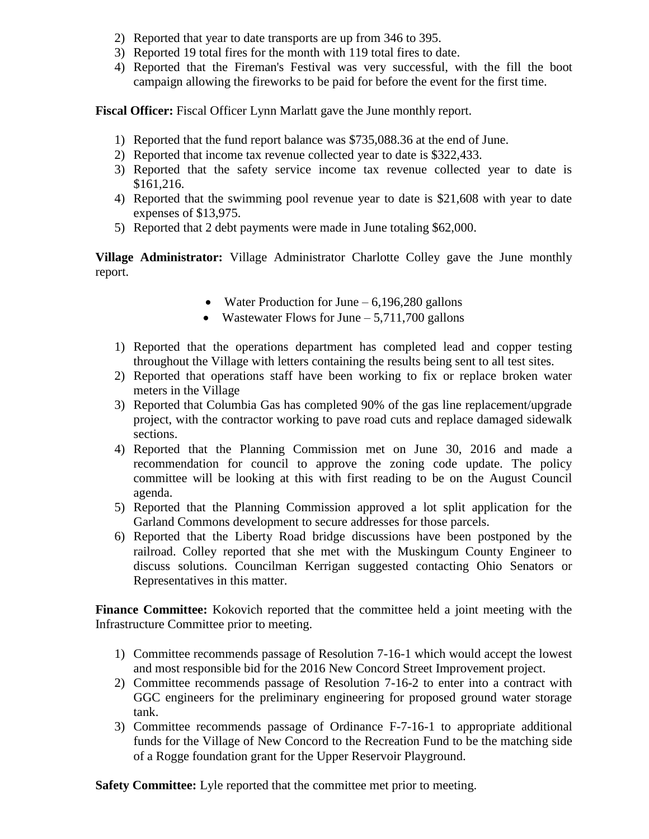- 2) Reported that year to date transports are up from 346 to 395.
- 3) Reported 19 total fires for the month with 119 total fires to date.
- 4) Reported that the Fireman's Festival was very successful, with the fill the boot campaign allowing the fireworks to be paid for before the event for the first time.

**Fiscal Officer:** Fiscal Officer Lynn Marlatt gave the June monthly report.

- 1) Reported that the fund report balance was \$735,088.36 at the end of June.
- 2) Reported that income tax revenue collected year to date is \$322,433.
- 3) Reported that the safety service income tax revenue collected year to date is \$161,216.
- 4) Reported that the swimming pool revenue year to date is \$21,608 with year to date expenses of \$13,975.
- 5) Reported that 2 debt payments were made in June totaling \$62,000.

**Village Administrator:** Village Administrator Charlotte Colley gave the June monthly report.

- Water Production for June  $-6,196,280$  gallons
- Wastewater Flows for June  $-5,711,700$  gallons
- 1) Reported that the operations department has completed lead and copper testing throughout the Village with letters containing the results being sent to all test sites.
- 2) Reported that operations staff have been working to fix or replace broken water meters in the Village
- 3) Reported that Columbia Gas has completed 90% of the gas line replacement/upgrade project, with the contractor working to pave road cuts and replace damaged sidewalk sections.
- 4) Reported that the Planning Commission met on June 30, 2016 and made a recommendation for council to approve the zoning code update. The policy committee will be looking at this with first reading to be on the August Council agenda.
- 5) Reported that the Planning Commission approved a lot split application for the Garland Commons development to secure addresses for those parcels.
- 6) Reported that the Liberty Road bridge discussions have been postponed by the railroad. Colley reported that she met with the Muskingum County Engineer to discuss solutions. Councilman Kerrigan suggested contacting Ohio Senators or Representatives in this matter.

**Finance Committee:** Kokovich reported that the committee held a joint meeting with the Infrastructure Committee prior to meeting.

- 1) Committee recommends passage of Resolution 7-16-1 which would accept the lowest and most responsible bid for the 2016 New Concord Street Improvement project.
- 2) Committee recommends passage of Resolution 7-16-2 to enter into a contract with GGC engineers for the preliminary engineering for proposed ground water storage tank.
- 3) Committee recommends passage of Ordinance F-7-16-1 to appropriate additional funds for the Village of New Concord to the Recreation Fund to be the matching side of a Rogge foundation grant for the Upper Reservoir Playground.

**Safety Committee:** Lyle reported that the committee met prior to meeting.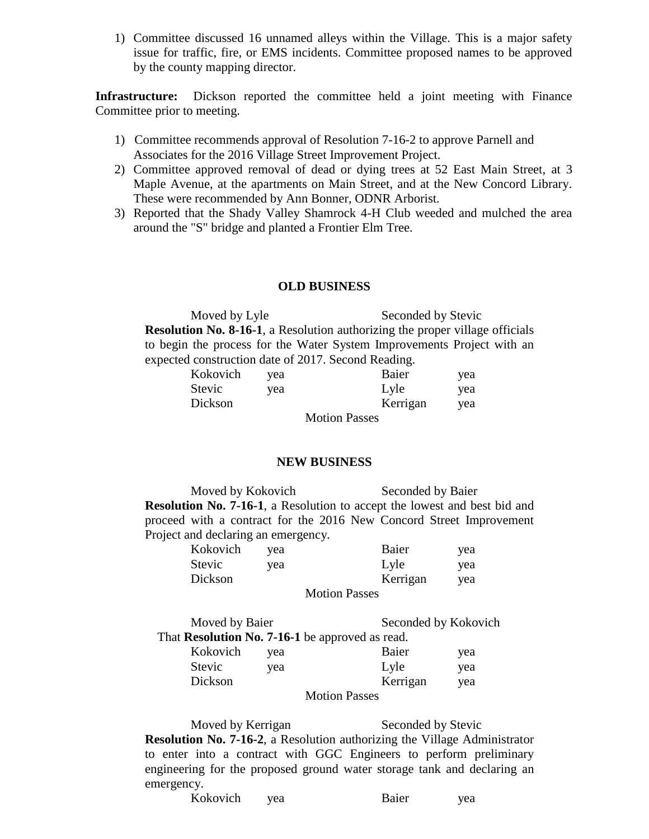1) Committee discussed 16 unnamed alleys within the Village. This is a major safety issue for traffic, fire, or EMS incidents. Committee proposed names to be approved by the county mapping director.

**Infrastructure:** Dickson reported the committee held a joint meeting with Finance Committee prior to meeting.

- 1) Committee recommends approval of Resolution 7-16-2 to approve Parnell and Associates for the 2016 Village Street Improvement Project.
- 2) Committee approved removal of dead or dying trees at 52 East Main Street, at 3 Maple Avenue, at the apartments on Main Street, and at the New Concord Library. These were recommended by Ann Bonner, ODNR Arborist.
- 3) Reported that the Shady Valley Shamrock 4-H Club weeded and mulched the area around the "S" bridge and planted a Frontier Elm Tree.

## **OLD BUSINESS**

Moved by Lyle Seconded by Stevic **Resolution No. 8-16-1**, a Resolution authorizing the proper village officials to begin the process for the Water System Improvements Project with an expected construction date of 2017. Second Reading.

| Kokovich | yea | Baier                | yea |
|----------|-----|----------------------|-----|
| Stevic   | yea | Lyle                 | yea |
| Dickson  |     | Kerrigan             | yea |
|          |     | <b>Motion Passes</b> |     |

## **NEW BUSINESS**

Moved by Kokovich Seconded by Baier **Resolution No. 7-16-1**, a Resolution to accept the lowest and best bid and proceed with a contract for the 2016 New Concord Street Improvement Project and declaring an emergency.

| Kokovich | yea | Baier                | yea |
|----------|-----|----------------------|-----|
| Stevic   | vea | Lyle                 | vea |
| Dickson  |     | Kerrigan             | yea |
|          |     | <b>Motion Passes</b> |     |

Moved by Baier Seconded by Kokovich That **Resolution No. 7-16-1** be approved as read. Kokovich yea Baier yea Stevic yea Lyle yea Dickson Kerrigan yea Motion Passes

Moved by Kerrigan Seconded by Stevic **Resolution No. 7-16-2**, a Resolution authorizing the Village Administrator to enter into a contract with GGC Engineers to perform preliminary engineering for the proposed ground water storage tank and declaring an emergency.

| Kokovich | vea | Baier | yea |
|----------|-----|-------|-----|
|----------|-----|-------|-----|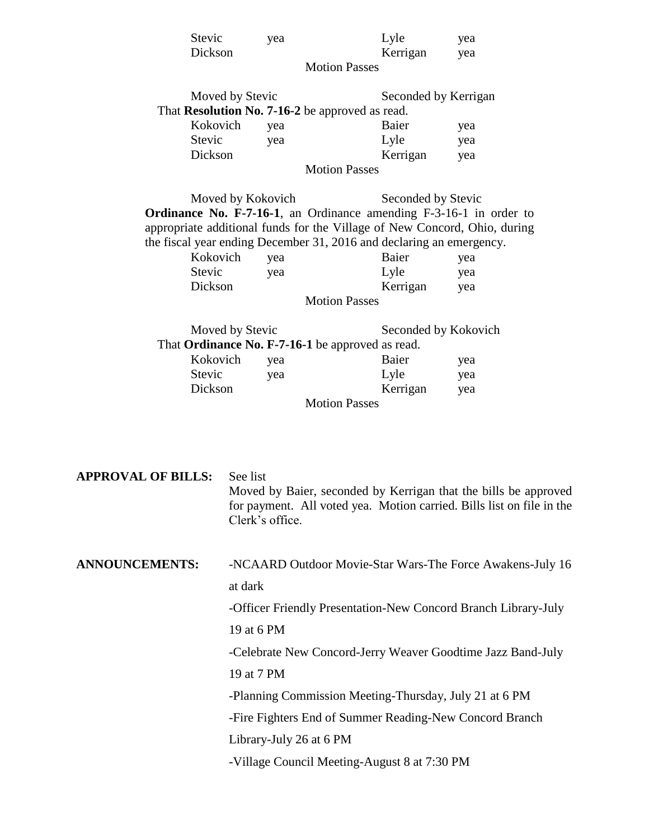|                           | Stevic   |                                                                       | yea             |                                                                      | Lyle                 | yea                                                                       |
|---------------------------|----------|-----------------------------------------------------------------------|-----------------|----------------------------------------------------------------------|----------------------|---------------------------------------------------------------------------|
|                           | Dickson  |                                                                       |                 |                                                                      | Kerrigan             | yea                                                                       |
|                           |          |                                                                       |                 | <b>Motion Passes</b>                                                 |                      |                                                                           |
|                           |          | Moved by Stevic                                                       |                 |                                                                      | Seconded by Kerrigan |                                                                           |
|                           |          |                                                                       |                 | That <b>Resolution No. 7-16-2</b> be approved as read.               |                      |                                                                           |
|                           | Kokovich |                                                                       | yea             |                                                                      | Baier                | yea                                                                       |
|                           | Stevic   |                                                                       | yea             |                                                                      | Lyle                 | yea                                                                       |
|                           | Dickson  |                                                                       |                 |                                                                      | Kerrigan             | yea                                                                       |
|                           |          |                                                                       |                 | <b>Motion Passes</b>                                                 |                      |                                                                           |
|                           |          | Moved by Kokovich                                                     |                 |                                                                      | Seconded by Stevic   |                                                                           |
|                           |          |                                                                       |                 |                                                                      |                      | Ordinance No. F-7-16-1, an Ordinance amending F-3-16-1 in order to        |
|                           |          |                                                                       |                 |                                                                      |                      | appropriate additional funds for the Village of New Concord, Ohio, during |
|                           |          |                                                                       |                 | the fiscal year ending December 31, 2016 and declaring an emergency. |                      |                                                                           |
|                           | Kokovich |                                                                       | yea             |                                                                      | Baier                | yea                                                                       |
|                           | Stevic   |                                                                       | yea             |                                                                      | Lyle                 | yea                                                                       |
|                           | Dickson  |                                                                       |                 |                                                                      | Kerrigan             | yea                                                                       |
|                           |          |                                                                       |                 | <b>Motion Passes</b>                                                 |                      |                                                                           |
|                           |          | Moved by Stevic                                                       |                 |                                                                      |                      | Seconded by Kokovich                                                      |
|                           |          |                                                                       |                 | That Ordinance No. F-7-16-1 be approved as read.                     |                      |                                                                           |
| Kokovich                  |          |                                                                       | yea             |                                                                      | Baier                | yea                                                                       |
|                           | Stevic   |                                                                       | yea             |                                                                      | Lyle                 | yea                                                                       |
|                           | Dickson  |                                                                       |                 |                                                                      | Kerrigan             | yea                                                                       |
|                           |          |                                                                       |                 | <b>Motion Passes</b>                                                 |                      |                                                                           |
|                           |          |                                                                       |                 |                                                                      |                      |                                                                           |
|                           |          |                                                                       |                 |                                                                      |                      |                                                                           |
| <b>APPROVAL OF BILLS:</b> |          | See list                                                              |                 |                                                                      |                      |                                                                           |
|                           |          | Moved by Baier, seconded by Kerrigan that the bills be approved       |                 |                                                                      |                      |                                                                           |
|                           |          | for payment. All voted yea. Motion carried. Bills list on file in the |                 |                                                                      |                      |                                                                           |
|                           |          |                                                                       | Clerk's office. |                                                                      |                      |                                                                           |
|                           |          |                                                                       |                 |                                                                      |                      |                                                                           |
| <b>ANNOUNCEMENTS:</b>     |          | -NCAARD Outdoor Movie-Star Wars-The Force Awakens-July 16             |                 |                                                                      |                      |                                                                           |
|                           |          | at dark                                                               |                 |                                                                      |                      |                                                                           |
|                           |          |                                                                       |                 |                                                                      |                      |                                                                           |
|                           |          | -Officer Friendly Presentation-New Concord Branch Library-July        |                 |                                                                      |                      |                                                                           |
|                           |          | 19 at 6 PM                                                            |                 |                                                                      |                      |                                                                           |
|                           |          | -Celebrate New Concord-Jerry Weaver Goodtime Jazz Band-July           |                 |                                                                      |                      |                                                                           |
|                           |          | 19 at 7 PM                                                            |                 |                                                                      |                      |                                                                           |

-Planning Commission Meeting-Thursday, July 21 at 6 PM

-Fire Fighters End of Summer Reading-New Concord Branch

Library-July 26 at 6 PM

-Village Council Meeting-August 8 at 7:30 PM